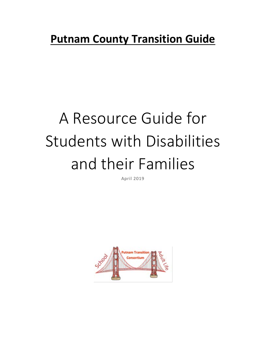# **Putnam County Transition Guide**

# A Resource Guide for Students with Disabilities and their Families

April 2019

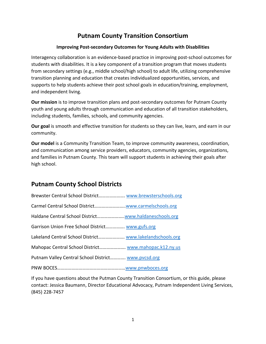# **Putnam County Transition Consortium**

#### **Improving Post-secondary Outcomes for Young Adults with Disabilities**

Interagency collaboration is an evidence-based practice in improving post-school outcomes for students with disabilities. It is a key component of a transition program that moves students from secondary settings (e.g., middle school/high school) to adult life, utilizing comprehensive transition planning and education that creates individualized opportunities, services, and supports to help students achieve their post school goals in education/training, employment, and independent living.

**Our mission** is to improve transition plans and post-secondary outcomes for Putnam County youth and young adults through communication and education of all transition stakeholders, including students, families, schools, and community agencies.

**Our goal** is smooth and effective transition for students so they can live, learn, and earn in our community.

**Our model** is a Community Transition Team, to improve community awareness, coordination, and communication among service providers, educators, community agencies, organizations, and families in Putnam County. This team will support students in achieving their goals after high school.

# **Putnam County School Districts**

| Brewster Central School District www.brewsterschools.org |  |
|----------------------------------------------------------|--|
|                                                          |  |
|                                                          |  |
| Garrison Union Free School District www.gufs.org         |  |
| Lakeland Central School District www.lakelandschools.org |  |
| Mahopac Central School District www.mahopac.k12.ny.us    |  |
| Putnam Valley Central School District www.pvcsd.org      |  |
|                                                          |  |

If you have questions about the Putman County Transition Consortium, or this guide, please contact: Jessica Baumann, Director Educational Advocacy, Putnam Independent Living Services, (845) 228-7457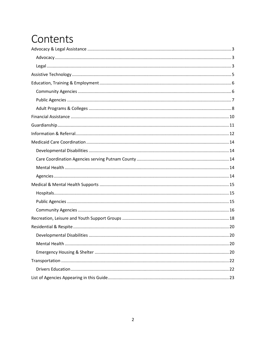# Contents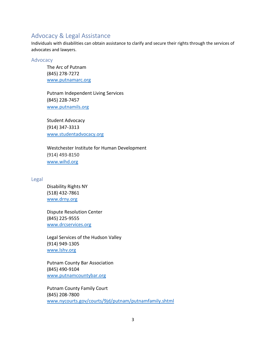## Advocacy & Legal Assistance

Individuals with disabilities can obtain assistance to clarify and secure their rights through the services of advocates and lawyers.

#### Advocacy

The Arc of Putnam (845) 278-7272 [www.putnamarc.org](http://www.putnamarc.org/)

Putnam Independent Living Services (845) 228-7457 [www.putnamils.org](http://www.putnamils.org/)

Student Advocacy (914) 347-3313 [www.studentadvocacy.org](http://www.studentadvocacy.org/)

Westchester Institute for Human Development (914) 493-8150 [www.wihd.org](http://www.wihd.org/)

#### Legal

Disability Rights NY (518) 432-7861 [www.drny.org](http://www.drny.org/)

Dispute Resolution Center (845) 225-9555 www.drcservices.org

Legal Services of the Hudson Valley (914) 949-1305 www.lshv.org

Putnam County Bar Association (845) 490-9104 www.putnamcountybar.org

Putnam County Family Court (845) 208-7800 www.nycourts.gov/courts/9jd/putnam/putnamfamily.shtml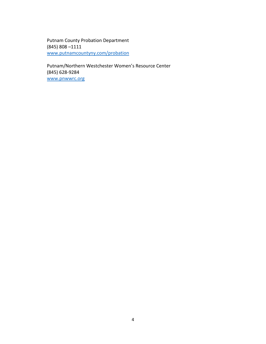Putnam County Probation Department (845) 808 –1111 www.putnamcountyny.com/probation

Putnam/Northern Westchester Women's Resource Center (845) 628-9284 www.pnwwrc.org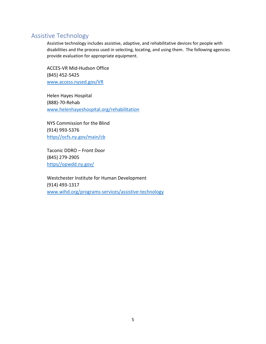# Assistive Technology

Assistive technology includes assistive, adaptive, and rehabilitative devices for [people with](https://en.wikipedia.org/wiki/People_with_disabilities)  [disabilities](https://en.wikipedia.org/wiki/People_with_disabilities) and the process used in selecting, locating, and using them. The following agencies provide evaluation for appropriate equipment.

ACCES-VR Mid-Hudson Office (845) 452-5425 [www.access.nysed.gov/VR](http://www.access.nysed.gov/VR)

Helen Hayes Hospital (888)-70-Rehab [www.helenhayeshospital.org/rehabilitation](http://www.helenhayeshospital.org/rehabilitation)

NYS Commission for the Blind (914) 993-5376 [https//ocfs.ny.gov/main/cb](https://ocfs.ny.gov/main/cb)

Taconic DDRO – Front Door (845) 279-2905 [https//opwdd.ny.gov/](https://opwdd.ny.gov/)

Westchester Institute for Human Development (914) 493-1317 [www.wihd.org/programs-services/assistive-technology](http://www.wihd.org/programs-services/assistive-technology)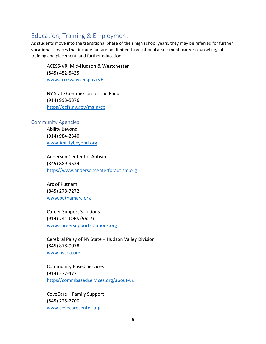# Education, Training & Employment

As students move into the transitional phase of their high school years, they may be referred for further vocational services that include but are not limited to vocational assessment, career counseling, job training and placement, and further education.

ACESS-VR, Mid-Hudson & Westchester (845) 452-5425 [www.access.nysed.gov/VR](http://www.access.nysed.gov/VR)

NY State Commission for the Blind (914) 993-5376 [https//ocfs.ny.gov/main/cb](https://ocfs.ny.gov/main/cb)

#### Community Agencies

Ability Beyond (914) 984-2340 [www.Abilitybeyond.org](http://www.abilitybeyond.org/)

Anderson Center for Autism (845) 889-9534 [https//www.andersoncenterforautism.org](https://www.andersoncenterforautism.org/)

Arc of Putnam (845) 278-7272 [www.putnamarc.org](http://www.putnamarc.org/)

Career Support Solutions (914) 741-JOBS (5627) [www.careersupportsolutions.org](http://www.careersupportsolutions.org/)

Cerebral Palsy of NY State – Hudson Valley Division (845) 878-9078 [www.hvcpa.org](http://www.hvcpa.org/)

Community Based Services (914) 277-4771 [https//commbasedservices.org/about-us7](https://commbasedservices.org/about-us7)

CoveCare – Family Support (845) 225-2700 [www.covecarecenter.org](http://www.covecarecenter.org/)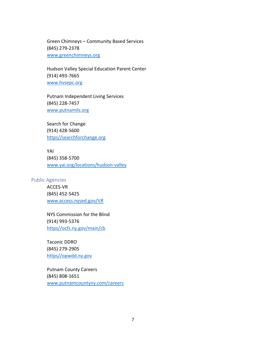Green Chimneys – Community Based Services (845) 279-2378 [www.greenchimneys.org](http://www.greenchimneys.org/)

Hudson Valley Special Education Parent Center (914) 493-7665 [www.hvsepc.org](http://www.hvsepc.org/)

Putnam Independent Living Services (845) 228-7457 [www.putnamils.org](http://www.putnamils.org/)

Search for Change (914) 428-5600 [https//searchforchange.org](https://searchforchange.org/)

YAI (845) 358-5700 [www.yai.org/locations/hudson-valley](http://www.yai.org/locations/hudson-valley)

#### Public Agencies

ACCES-VR (845) 452-5425 [www.access.nysed.gov/VR](http://www.access.nysed.gov/VR)

NYS Commission for the Blind (914) 993-5376 [https//ocfs.ny.gov/main/cb](https://ocfs.ny.gov/main/cb)

Taconic DDRO (845) 279-2905 [https//opwdd.ny.gov](https://opwdd.ny.gov/)

Putnam County Careers (845) 808-1651 [www.putnamcountyny.com/careers](http://www.putnamcountyny.com/careers)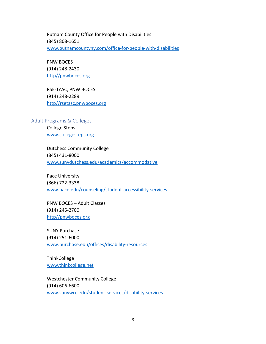Putnam County Office for People with Disabilities (845) 808-1651 [www.putnamcountyny.com/office-for-people-with-disabilities](http://www.putnamcountyny.com/office-for-people-with-disabilities)

PNW BOCES (914) 248-2430 [http//pnwboces.org](http://pnwboces.org/)

RSE-TASC, PNW BOCES (914) 248-2289 [http//rsetasc.pnwboces.org](http://rsetasc.pnwboces.org/)

Adult Programs & Colleges

College Steps [www.collegesteps.org](http://www.collegesteps.org/)

Dutchess Community College (845) 431-8000 [www.sunydutchess.edu/academics/accommodative](http://www.sunydutchess.edu/academics/accommodative)

Pace University (866) 722-3338 [www.pace.edu/counseling/student-accessibility-services](http://www.pace.edu/counseling/student-accessibility-services)

PNW BOCES – Adult Classes (914) 245-2700 [http//pnwboces.org](http://pnwboces.org/)

SUNY Purchase (914) 251-6000 [www.purchase.edu/offices/disability-resources](http://www.purchase.edu/offices/disability-resources)

**ThinkCollege** [www.thinkcollege.net](http://www.thinkcollege.net/)

Westchester Community College (914) 606-6600 [www.sunywcc.edu/student-services/disability-services](http://www.sunywcc.edu/student-services/disability-services)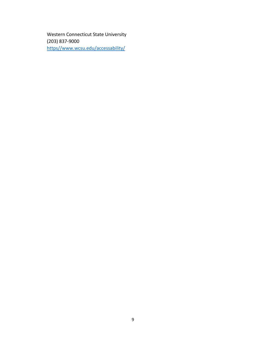Western Connecticut State University (203) 837-9000 [https//www.wcsu.edu/accessability/](https://www.wcsu.edu/accessability/)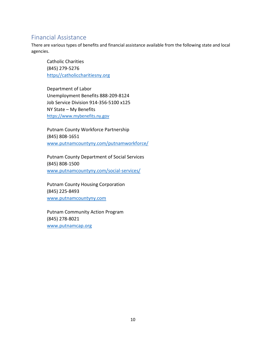# Financial Assistance

There are various types of benefits and financial assistance available from the following state and local agencies.

Catholic Charities (845) 279-5276 [https//catholiccharitiesny.org](https://catholiccharitiesny.org/)

Department of Labor Unemployment Benefits 888-209-8124 Job Service Division 914-356-5100 x125 NY State – My Benefits [https://www.mybenefits.ny.gov](https://www.mybenefits.ny.gov/)

Putnam County Workforce Partnership (845) 808-1651 [www.putnamcountyny.com/putnamworkforce/](http://www.putnamcountyny.com/putnamworkforce/)

Putnam County Department of Social Services (845) 808-1500 [www.putnamcountyny.com/social-services/](http://www.putnamcountyny.com/social-services/)

Putnam County Housing Corporation (845) 225-8493 [www.putnamcountyny.com](http://www.putnamcountyny.com/)

Putnam Community Action Program (845) 278-8021 [www.putnamcap.org](http://www.putnamcap.org/)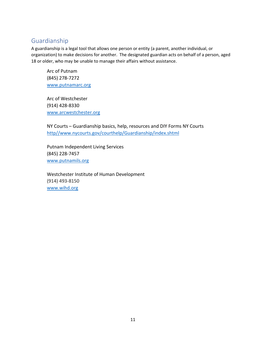### Guardianship

A guardianship is a legal tool that allows one person or entity (a parent, another individual, or organization) to make decisions for another. The designated guardian acts on behalf of a person, aged 18 or older, who may be unable to manage their affairs without assistance.

Arc of Putnam (845) 278-7272 [www.putnamarc.org](http://www.putnamarc.org/)

Arc of Westchester (914) 428-8330 [www.arcwestchester.org](http://www.arcwestchester.org/)

NY Courts – Guardianship basics, help, resources and DIY Forms NY Courts [http//www.nycourts.gov/courthelp/Guardianship/index.shtml](http://www.nycourts.gov/courthelp/Guardianship/index.shtml)

Putnam Independent Living Services (845) 228-7457 [www.putnamils.org](http://www.putnamils.org/)

Westchester Institute of Human Development (914) 493-8150 [www.wihd.org](http://www.wihd.org/)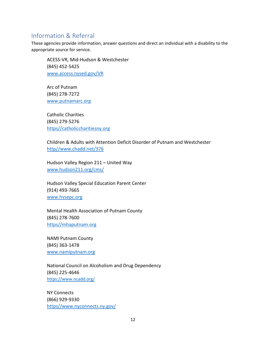# Information & Referral

These agencies provide information, answer questions and direct an individual with a disability to the appropriate source for service.

ACESS-VR, Mid-Hudson & Westchester (845) 452-5425 [www.access.nysed.gov/VR](http://www.access.nysed.gov/VR)

Arc of Putnam (845) 278-7272 [www.putnamarc.org](http://www.putnamarc.org/)

Catholic Charities (845) 279-5276 [https//catholiccharitiesny.org](https://catholiccharitiesny.org/)

Children & Adults with Attention Deficit Disorder of Putnam and Westchester [http//www.chadd.net/376](http://www.chadd.net/376)

Hudson Valley Region 211 – United Way [www.hudson211.org/cms/](http://www.hudson211.org/cms/)

Hudson Valley Special Education Parent Center (914) 493-7665 [www.hvsepc.org](http://www.hvsepc.org/)

Mental Health Association of Putnam County (845) 278-7600 [https//mhaputnam.org](https://mhaputnam.org/)

NAMI Putnam County (845) 363-1478 [www.namiputnam.org](http://www.namiputnam.org/)

National Council on Alcoholism and Drug Dependency (845) 225-4646 <https://www.ncadd.org/>

NY Connects (866) 929-9330 [https//www.nyconnects.ny.gov/](https://www.nyconnects.ny.gov/)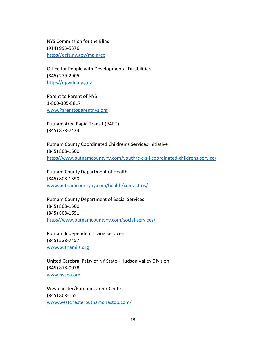NYS Commission for the Blind (914) 993-5376 [https//ocfs.ny.gov/main/cb](https://ocfs.ny.gov/main/cb)

Office for People with Developmental Disabilities (845) 279-2905 [https//opwdd.ny.gov](https://opwdd.ny.gov/)

Parent to Parent of NYS 1-800-305-8817 [www.Parenttoparentnys.org](http://www.parenttoparentnys.org/)

Putnam Area Rapid Transit (PART) (845) 878-7433

Putnam County Coordinated Children's Services Initiative (845) 808-1600 [https//www.putnamcountyny.com/youth/c-c-s-i-coordinated-childrens-service/](https://www.putnamcountyny.com/youth/c-c-s-i-coordinated-childrens-service/)

Putnam County Department of Health (845) 808-1390 [www.putnamcountyny.com/health/contact-us/](http://www.putnamcountyny.com/health/contact-us/)

Putnam County Department of Social Services (845) 808-1500 (845) 808-1651 [https//www.putnamcountyny.com/social-services/](https://www.putnamcountyny.com/social-services/)

Putnam Independent Living Services (845) 228-7457 [www.putnamils.org](http://www.putnamils.org/)

United Cerebral Palsy of NY State - Hudson Valley Division (845) 878-9078 [www.hvcpa.org](http://www.hvcpa.org/)

Westchester/Putnam Career Center (845) 808-1651 [www.westchesterputnamonestop.com/](http://www.westchesterputnamonestop.com/)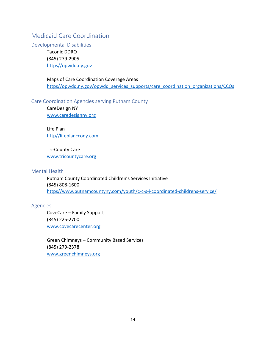# Medicaid Care Coordination

Developmental Disabilities

Taconic DDRO (845) 279-2905 [https//opwdd.ny.gov](https://opwdd.ny.gov/)

Maps of Care Coordination Coverage Areas [https//opwdd.ny.gov/opwdd\\_services\\_supports/care\\_coordination\\_organizations/CCOs](https://opwdd.ny.gov/opwdd_services_supports/care_coordination_organizations/CCOs)

#### Care Coordination Agencies serving Putnam County

CareDesign NY [www.caredesignny.org](http://www.caredesignny.org/)

Life Plan [http//lifeplanccony.com](http://lifeplanccony.com/)

Tri-County Care [www.tricountycare.org](https://www.tricountycare.org/)

Mental Health

Putnam County Coordinated Children's Services Initiative (845) 808-1600 [https//www.putnamcountyny.com/youth/c-c-s-i-coordinated-childrens-service/](https://www.putnamcountyny.com/youth/c-c-s-i-coordinated-childrens-service/)

#### Agencies

CoveCare – Family Support (845) 225-2700 [www.covecarecenter.org](http://www.covecarecenter.org/)

Green Chimneys – Community Based Services (845) 279-2378 [www.greenchimneys.org](http://www.greenchimneys.org/)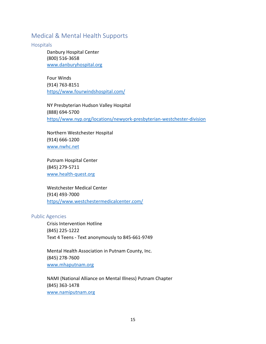# Medical & Mental Health Supports

**Hospitals** 

Danbury Hospital Center (800) 516-3658 [www.danburyhospital.org](http://www.danburyhospital.org/)

Four Winds (914) 763-8151 [https//www.fourwindshospital.com/](https://www.fourwindshospital.com/)

NY Presbyterian Hudson Valley Hospital (888) 694-5700 [https//www.nyp.org/locations/newyork-presbyterian-westchester-division](https://www.nyp.org/locations/newyork-presbyterian-westchester-division)

Northern Westchester Hospital (914) 666-1200 [www.nwhc.net](http://www.nwhc.net/)

Putnam Hospital Center (845) 279-5711 [www.health-quest.org](http://www.health-quest.org/)

Westchester Medical Center (914) 493-7000 [https//www.westchestermedicalcenter.com/](https://www.westchestermedicalcenter.com/)

#### Public Agencies

Crisis Intervention Hotline (845) 225-1222 Text 4 Teens - Text anonymously to 845-661-9749

Mental Health Association in Putnam County, Inc. (845) 278-7600 [www.mhaputnam.org](http://www.mhaputnam.org/)

NAMI (National Alliance on Mental Illness) Putnam Chapter (845) 363-1478 [www.namiputnam.org](http://www.namiputnam.org/)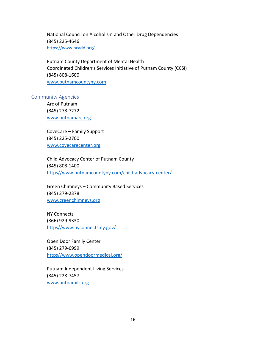National Council on Alcoholism and Other Drug Dependencies (845) 225-4646 <https://www.ncadd.org/>

Putnam County Department of Mental Health Coordinated Children's Services Initiative of Putnam County (CCSI) (845) 808-1600 [www.putnamcountyny.com](http://www.putnamcountyny.com/)

#### Community Agencies

Arc of Putnam (845) 278-7272 [www.putnamarc.org](http://www.putnamarc.org/)

CoveCare – Family Support (845) 225-2700 [www.covecarecenter.org](http://www.covecarecenter.org/)

Child Advocacy Center of Putnam County (845) 808-1400 [https//www.putnamcountyny.com/child-advocacy-center/](https://www.putnamcountyny.com/child-advocacy-center/)

Green Chimneys – Community Based Services (845) 279-2378 [www.greenchimneys.org](http://www.greenchimneys.org/)

NY Connects (866) 929-9330 [https//www.nyconnects.ny.gov/](https://www.nyconnects.ny.gov/)

Open Door Family Center (845) 279-6999 [https//www.opendoormedical.org/](https://www.opendoormedical.org/)

Putnam Independent Living Services (845) 228-7457 [www.putnamils.org](http://www.putnamils.org/)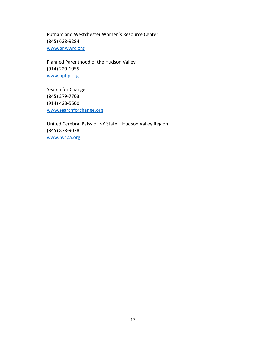Putnam and Westchester Women's Resource Center (845) 628-9284 [www.pnwwrc.org](http://www.pnwwrc.org/)

Planned Parenthood of the Hudson Valley (914) 220-1055 [www.pphp.org](http://www.pphp.org/)

Search for Change (845) 279-7703 (914) 428-5600 [www.searchforchange.org](http://www.searchforchange.org/)

United Cerebral Palsy of NY State – Hudson Valley Region (845) 878-9078 [www.hvcpa.org](http://www.hvcpa.org/)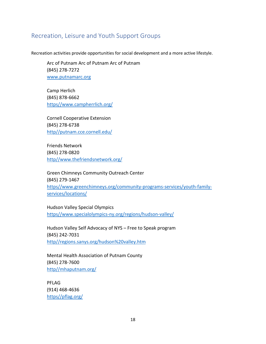# Recreation, Leisure and Youth Support Groups

Recreation activities provide opportunities for social development and a more active lifestyle.

Arc of Putnam Arc of Putnam Arc of Putnam (845) 278-7272 [www.putnamarc.org](http://www.putnamarc.org/)

Camp Herlich (845) 878-6662 [https//www.campherrlich.org/](https://www.campherrlich.org/)

Cornell Cooperative Extension (845) 278-6738 [http//putnam.cce.cornell.edu/](http://putnam.cce.cornell.edu/)

Friends Network (845) 278-0820 [http//www.thefriendsnetwork.org/](http://www.thefriendsnetwork.org/)

Green Chimneys Community Outreach Center (845) 279-1467 [https//www.greenchimneys.org/community-programs-services/youth-family](https://www.greenchimneys.org/community-programs-services/youth-family-services/locations/)[services/locations/](https://www.greenchimneys.org/community-programs-services/youth-family-services/locations/)

Hudson Valley Special Olympics [https//www.specialolympics-ny.org/regions/hudson-valley/](https://www.specialolympics-ny.org/regions/hudson-valley/)

Hudson Valley Self Advocacy of NYS – Free to Speak program (845) 242-7031 [http//regions.sanys.org/hudson%20valley.htm](http://regions.sanys.org/hudson%20valley.htm)

Mental Health Association of Putnam County (845) 278-7600 [http//mhaputnam.org/](http://mhaputnam.org/)

PFLAG (914) 468-4636 [https//pflag.org/](https://pflag.org/)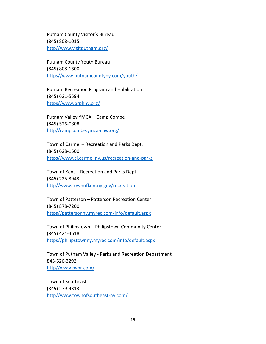Putnam County Visitor's Bureau (845) 808-1015 [http//www.visitputnam.org/](http://www.visitputnam.org/)

Putnam County Youth Bureau (845) 808-1600 [https//www.putnamcountyny.com/youth/](https://www.putnamcountyny.com/youth/)

Putnam Recreation Program and Habilitation (845) 621-5594 [https//www.prphny.org/](https://www.prphny.org/)

Putnam Valley YMCA – Camp Combe (845) 526-0808 [http//campcombe.ymca-cnw.org/](http://campcombe.ymca-cnw.org/)

Town of Carmel – Recreation and Parks Dept. (845) 628-1500 [https//www.ci.carmel.ny.us/recreation-and-parks](https://www.ci.carmel.ny.us/recreation-and-parks)

Town of Kent – Recreation and Parks Dept. (845) 225-3943 [http//www.townofkentny.gov/recreation](http://www.townofkentny.gov/recreation)

Town of Patterson – Patterson Recreation Center (845) 878-7200 [https//pattersonny.myrec.com/info/default.aspx](https://pattersonny.myrec.com/info/default.aspx)

Town of Philipstown – Philipstown Community Center (845) 424-4618 [https//philipstownny.myrec.com/info/default.aspx](https://philipstownny.myrec.com/info/default.aspx)

Town of Putnam Valley - Parks and Recreation Department 845-526-3292 [http//www.pvpr.com/](http://www.pvpr.com/)

Town of Southeast (845) 279-4313 [http//www.townofsoutheast-ny.com/](http://www.townofsoutheast-ny.com/)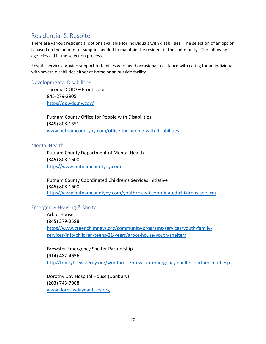# Residential & Respite

There are various residential options available for individuals with disabilities. The selection of an option is based on the amount of support needed to maintain the resident in the community. The following agencies aid in the selection process.

Respite services provide support to families who need occasional assistance with caring for an individual with severe disabilities either at home or an outside facility.

#### Developmental Disabilities

Taconic DDRO – Front Door 845-279-2905 [https//opwdd.ny.gov/](https://opwdd.ny.gov/)

Putnam County Office for People with Disabilities (845) 808-1651 [www.putnamcountyny.com/office-for-people-with-disabilities](http://www.putnamcountyny.com/office-for-people-with-disabilities)

#### Mental Health

Putnam County Department of Mental Health (845) 808-1600 [https//www.putnamcountyny.com](https://www.putnamcountyny.com/)

Putnam County Coordinated Children's Services Initiative (845) 808-1600 [https//www.putnamcountyny.com/youth/c-c-s-i-coordinated-childrens-service/](https://www.putnamcountyny.com/youth/c-c-s-i-coordinated-childrens-service/)

#### Emergency Housing & Shelter

Arbor House (845) 279-2588 [https//www.greenchimneys.org/community-programs-services/youth-family](https://www.greenchimneys.org/community-programs-services/youth-family-services/info-children-teens-21-years/arbor-house-youth-shelter/)[services/info-children-teens-21-years/arbor-house-youth-shelter/](https://www.greenchimneys.org/community-programs-services/youth-family-services/info-children-teens-21-years/arbor-house-youth-shelter/)

Brewster Emergency Shelter Partnership (914) 482-4656 [http//trinitybrewsterny.org/wordpress/brewster-emergency-shelter-partnership-besp](http://trinitybrewsterny.org/wordpress/brewster-emergency-shelter-partnership-besp)

Dorothy Day Hospital House (Danbury) (203) 743-7988 [www.dorothydaydanbury.org](http://www.dorothydaydanbury.org/)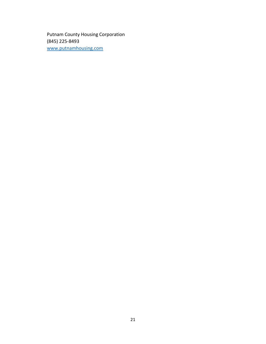Putnam County Housing Corporation (845) 225-8493 [www.putnamhousing.com](http://www.putnamhousing.com/)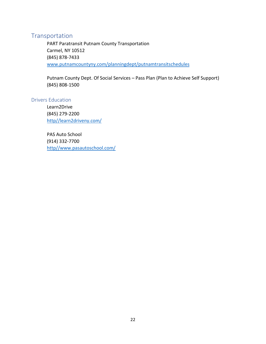# Transportation

PART Paratransit Putnam County Transportation Carmel, NY 10512 (845) 878-7433 www.putnamcountyny.com/planningdept/putnamtransitschedules

Putnam County Dept. Of Social Services – Pass Plan (Plan to Achieve Self Support) (845) 808-1500

#### Drivers Education

Learn2Drive (845) 279-2200 [http//learn2driveny.com/](http://learn2driveny.com/)

PAS Auto School (914) 332-7700 [http//www.pasautoschool.com/](http://www.pasautoschool.com/)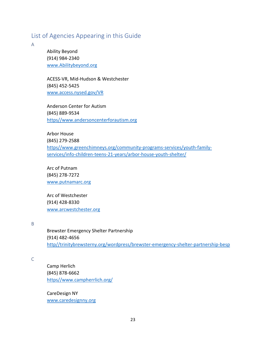# List of Agencies Appearing in this Guide

A

Ability Beyond (914) 984-2340 [www.Abilitybeyond.org](http://www.abilitybeyond.org/)

ACESS-VR, Mid-Hudson & Westchester (845) 452-5425 [www.access.nysed.gov/VR](http://www.access.nysed.gov/VR)

Anderson Center for Autism (845) 889-9534 [https//www.andersoncenterforautism.org](https://www.andersoncenterforautism.org/)

Arbor House (845) 279-2588 [https//www.greenchimneys.org/community-programs-services/youth-family](https://www.greenchimneys.org/community-programs-services/youth-family-services/info-children-teens-21-years/arbor-house-youth-shelter/)[services/info-children-teens-21-years/arbor-house-youth-shelter/](https://www.greenchimneys.org/community-programs-services/youth-family-services/info-children-teens-21-years/arbor-house-youth-shelter/)

Arc of Putnam (845) 278-7272 [www.putnamarc.org](http://www.putnamarc.org/)

Arc of Westchester (914) 428-8330 [www.arcwestchester.org](http://www.arcwestchester.org/)

B

Brewster Emergency Shelter Partnership (914) 482-4656 [http//trinitybrewsterny.org/wordpress/brewster-emergency-shelter-partnership-besp](http://trinitybrewsterny.org/wordpress/brewster-emergency-shelter-partnership-besp)

C

Camp Herlich (845) 878-6662 [https//www.campherrlich.org/](https://www.campherrlich.org/)

CareDesign NY [www.caredesignny.org](http://www.caredesignny.org/)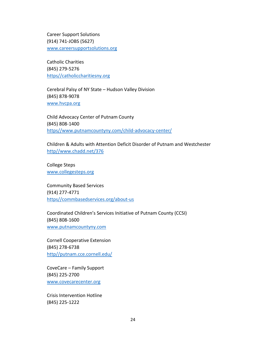Career Support Solutions (914) 741-JOBS (5627) [www.careersupportsolutions.org](http://www.careersupportsolutions.org/)

Catholic Charities (845) 279-5276 [https//catholiccharitiesny.org](https://catholiccharitiesny.org/)

Cerebral Palsy of NY State – Hudson Valley Division (845) 878-9078 [www.hvcpa.org](http://www.hvcpa.org/)

Child Advocacy Center of Putnam County (845) 808-1400 [https//www.putnamcountyny.com/child-advocacy-center/](https://www.putnamcountyny.com/child-advocacy-center/)

Children & Adults with Attention Deficit Disorder of Putnam and Westchester [http//www.chadd.net/376](http://www.chadd.net/376)

College Steps [www.collegesteps.org](http://www.collegesteps.org/)

Community Based Services (914) 277-4771 [https//commbasedservices.org/about-us7](https://commbasedservices.org/about-us7)

Coordinated Children's Services Initiative of Putnam County (CCSI) (845) 808-1600 [www.putnamcountyny.com](http://www.putnamcountyny.com/)

Cornell Cooperative Extension (845) 278-6738 [http//putnam.cce.cornell.edu/](http://putnam.cce.cornell.edu/)

CoveCare – Family Support (845) 225-2700 [www.covecarecenter.org](http://www.covecarecenter.org/)

Crisis Intervention Hotline (845) 225-1222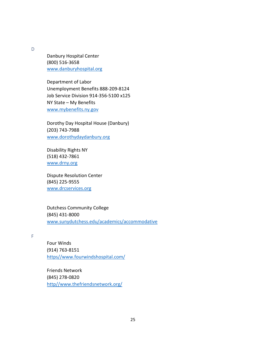D

Danbury Hospital Center (800) 516-3658 [www.danburyhospital.org](http://www.danburyhospital.org/)

Department of Labor Unemployment Benefits 888-209-8124 Job Service Division 914-356-5100 x125 NY State – My Benefits [www.mybenefits.ny.gov](http://www.mybenefits.ny.gov/)

Dorothy Day Hospital House (Danbury) (203) 743-7988 [www.dorothydaydanbury.org](http://www.dorothydaydanbury.org/)

Disability Rights NY (518) 432-7861 [www.drny.org](http://www.drny.org/)

Dispute Resolution Center (845) 225-9555 www.drcservices.org

Dutchess Community College (845) 431-8000 [www.sunydutchess.edu/academics/accommodative](http://www.sunydutchess.edu/academics/accommodative)

F

Four Winds (914) 763-8151 [https//www.fourwindshospital.com/](https://www.fourwindshospital.com/)

Friends Network (845) 278-0820 [http//www.thefriendsnetwork.org/](http://www.thefriendsnetwork.org/)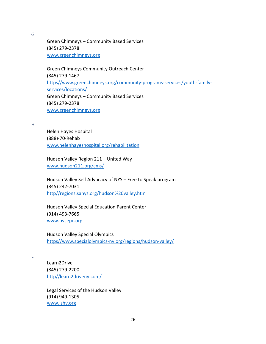G

Green Chimneys – Community Based Services (845) 279-2378 [www.greenchimneys.org](http://www.greenchimneys.org/)

Green Chimneys Community Outreach Center (845) 279-1467 [https//www.greenchimneys.org/community-programs-services/youth-family](https://www.greenchimneys.org/community-programs-services/youth-family-services/locations/)[services/locations/](https://www.greenchimneys.org/community-programs-services/youth-family-services/locations/) Green Chimneys – Community Based Services (845) 279-2378 [www.greenchimneys.org](http://www.greenchimneys.org/)

#### H

Helen Hayes Hospital (888)-70-Rehab [www.helenhayeshospital.org/rehabilitation](http://www.helenhayeshospital.org/rehabilitation)

Hudson Valley Region 211 – United Way [www.hudson211.org/cms/](http://www.hudson211.org/cms/)

Hudson Valley Self Advocacy of NYS – Free to Speak program (845) 242-7031 [http//regions.sanys.org/hudson%20valley.htm](http://regions.sanys.org/hudson%20valley.htm)

Hudson Valley Special Education Parent Center (914) 493-7665 [www.hvsepc.org](http://www.hvsepc.org/)

Hudson Valley Special Olympics [https//www.specialolympics-ny.org/regions/hudson-valley/](https://www.specialolympics-ny.org/regions/hudson-valley/)

L

Learn2Drive (845) 279-2200 [http//learn2driveny.com/](http://learn2driveny.com/)

Legal Services of the Hudson Valley (914) 949-1305 www.lshv.org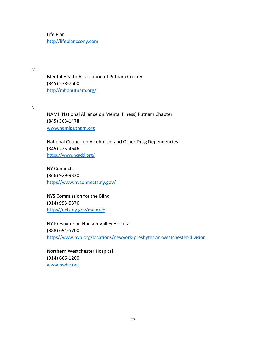Life Plan [http//lifeplanccony.com](http://lifeplanccony.com/)

M

Mental Health Association of Putnam County (845) 278-7600 [http//mhaputnam.org/](http://mhaputnam.org/)

N

NAMI (National Alliance on Mental Illness) Putnam Chapter (845) 363-1478 [www.namiputnam.org](http://www.namiputnam.org/)

National Council on Alcoholism and Other Drug Dependencies (845) 225-4646 <https://www.ncadd.org/>

NY Connects (866) 929-9330 [https//www.nyconnects.ny.gov/](https://www.nyconnects.ny.gov/)

NYS Commission for the Blind (914) 993-5376 [https//ocfs.ny.gov/main/cb](https://ocfs.ny.gov/main/cb)

NY Presbyterian Hudson Valley Hospital (888) 694-5700 [https//www.nyp.org/locations/newyork-presbyterian-westchester-division](https://www.nyp.org/locations/newyork-presbyterian-westchester-division)

Northern Westchester Hospital (914) 666-1200 [www.nwhc.net](http://www.nwhc.net/)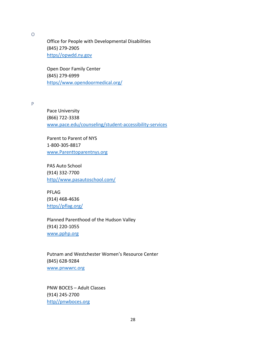O

Office for People with Developmental Disabilities (845) 279-2905 [https//opwdd.ny.gov](https://opwdd.ny.gov/)

Open Door Family Center (845) 279-6999 [https//www.opendoormedical.org/](https://www.opendoormedical.org/)

P

Pace University (866) 722-3338 [www.pace.edu/counseling/student-accessibility-services](http://www.pace.edu/counseling/student-accessibility-services)

Parent to Parent of NYS 1-800-305-8817 [www.Parenttoparentnys.org](http://www.parenttoparentnys.org/)

PAS Auto School (914) 332-7700 [http//www.pasautoschool.com/](http://www.pasautoschool.com/)

PFLAG (914) 468-4636 [https//pflag.org/](https://pflag.org/)

Planned Parenthood of the Hudson Valley (914) 220-1055 [www.pphp.org](http://www.pphp.org/)

Putnam and Westchester Women's Resource Center (845) 628-9284 [www.pnwwrc.org](http://www.pnwwrc.org/)

PNW BOCES – Adult Classes (914) 245-2700 [http//pnwboces.org](http://pnwboces.org/)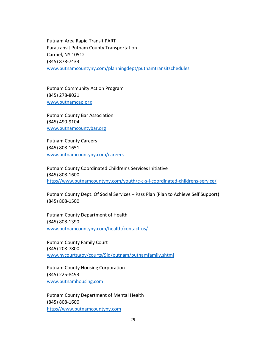Putnam Area Rapid Transit PART Paratransit Putnam County Transportation Carmel, NY 10512 (845) 878-7433 www.putnamcountyny.com/planningdept/putnamtransitschedules

Putnam Community Action Program (845) 278-8021 [www.putnamcap.org](http://www.putnamcap.org/)

Putnam County Bar Association (845) 490-9104 www.putnamcountybar.org

Putnam County Careers (845) 808-1651 [www.putnamcountyny.com/careers](http://www.putnamcountyny.com/careers)

Putnam County Coordinated Children's Services Initiative (845) 808-1600 [https//www.putnamcountyny.com/youth/c-c-s-i-coordinated-childrens-service/](https://www.putnamcountyny.com/youth/c-c-s-i-coordinated-childrens-service/)

Putnam County Dept. Of Social Services – Pass Plan (Plan to Achieve Self Support) (845) 808-1500

Putnam County Department of Health (845) 808-1390 [www.putnamcountyny.com/health/contact-us/](http://www.putnamcountyny.com/health/contact-us/)

Putnam County Family Court (845) 208-7800 www.nycourts.gov/courts/9jd/putnam/putnamfamily.shtml

Putnam County Housing Corporation (845) 225-8493 [www.putnamhousing.com](http://www.putnamhousing.com/)

Putnam County Department of Mental Health (845) 808-1600 [https//www.putnamcountyny.com](https://www.putnamcountyny.com/)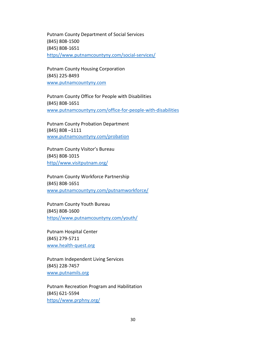Putnam County Department of Social Services (845) 808-1500 (845) 808-1651 [https//www.putnamcountyny.com/social-services/](https://www.putnamcountyny.com/social-services/)

Putnam County Housing Corporation (845) 225-8493 [www.putnamcountyny.com](http://www.putnamcountyny.com/)

Putnam County Office for People with Disabilities (845) 808-1651 [www.putnamcountyny.com/office-for-people-with-disabilities](http://www.putnamcountyny.com/office-for-people-with-disabilities)

Putnam County Probation Department (845) 808 –1111 www.putnamcountyny.com/probation

Putnam County Visitor's Bureau (845) 808-1015 [http//www.visitputnam.org/](http://www.visitputnam.org/)

Putnam County Workforce Partnership (845) 808-1651 [www.putnamcountyny.com/putnamworkforce/](http://www.putnamcountyny.com/putnamworkforce/)

Putnam County Youth Bureau (845) 808-1600 [https//www.putnamcountyny.com/youth/](https://www.putnamcountyny.com/youth/)

Putnam Hospital Center (845) 279-5711 [www.health-quest.org](http://www.health-quest.org/)

Putnam Independent Living Services (845) 228-7457 [www.putnamils.org](http://www.putnamils.org/)

Putnam Recreation Program and Habilitation (845) 621-5594 [https//www.prphny.org/](https://www.prphny.org/)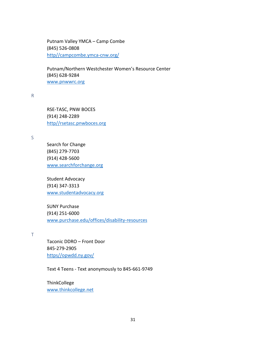Putnam Valley YMCA – Camp Combe (845) 526-0808 [http//campcombe.ymca-cnw.org/](http://campcombe.ymca-cnw.org/)

Putnam/Northern Westchester Women's Resource Center (845) 628-9284 www.pnwwrc.org

R

RSE-TASC, PNW BOCES (914) 248-2289 [http//rsetasc.pnwboces.org](http://rsetasc.pnwboces.org/)

S

Search for Change (845) 279-7703 (914) 428-5600 [www.searchforchange.org](http://www.searchforchange.org/)

Student Advocacy (914) 347-3313 [www.studentadvocacy.org](http://www.studentadvocacy.org/)

SUNY Purchase (914) 251-6000 [www.purchase.edu/offices/disability-resources](http://www.purchase.edu/offices/disability-resources)

T

Taconic DDRO – Front Door 845-279-2905 [https//opwdd.ny.gov/](https://opwdd.ny.gov/)

Text 4 Teens - Text anonymously to 845-661-9749

**ThinkCollege** [www.thinkcollege.net](http://www.thinkcollege.net/)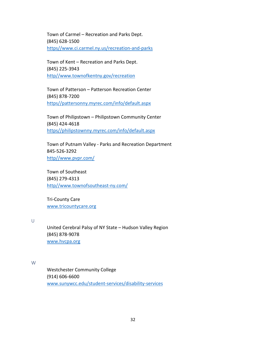Town of Carmel – Recreation and Parks Dept. (845) 628-1500 [https//www.ci.carmel.ny.us/recreation-and-parks](https://www.ci.carmel.ny.us/recreation-and-parks)

Town of Kent – Recreation and Parks Dept. (845) 225-3943 [http//www.townofkentny.gov/recreation](http://www.townofkentny.gov/recreation)

Town of Patterson – Patterson Recreation Center (845) 878-7200 [https//pattersonny.myrec.com/info/default.aspx](https://pattersonny.myrec.com/info/default.aspx)

Town of Philipstown – Philipstown Community Center (845) 424-4618 [https//philipstownny.myrec.com/info/default.aspx](https://philipstownny.myrec.com/info/default.aspx)

Town of Putnam Valley - Parks and Recreation Department 845-526-3292 [http//www.pvpr.com/](http://www.pvpr.com/)

Town of Southeast (845) 279-4313 [http//www.townofsoutheast-ny.com/](http://www.townofsoutheast-ny.com/)

Tri-County Care [www.tricountycare.org](https://www.tricountycare.org/)

 $\cup$ 

United Cerebral Palsy of NY State – Hudson Valley Region (845) 878-9078 [www.hvcpa.org](http://www.hvcpa.org/)

W

Westchester Community College (914) 606-6600 [www.sunywcc.edu/student-services/disability-services](http://www.sunywcc.edu/student-services/disability-services)